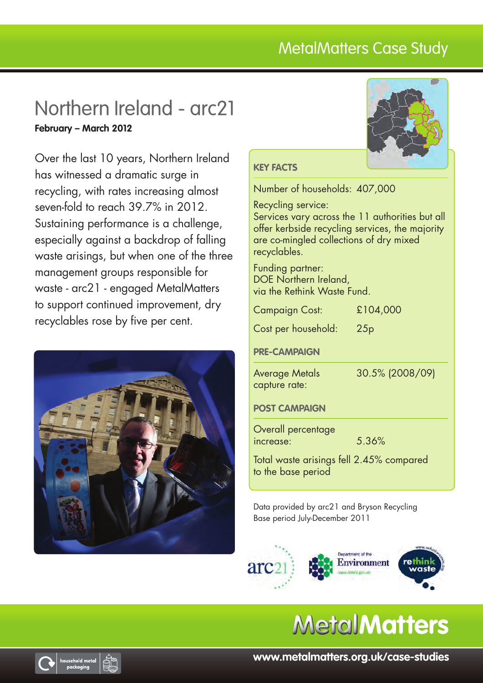# MetalMatters Case Study

# Northern Ireland - arc21 **February – March 2012**

Over the last 10 years, Northern Ireland has witnessed a dramatic surge in recycling, with rates increasing almost seven-fold to reach 39.7% in 2012. Sustaining performance is a challenge, especially against a backdrop of falling waste arisings, but when one of the three management groups responsible for waste - arc21 - engaged MetalMatters to support continued improvement, dry recyclables rose by five per cent.





## **Key facts**

Number of households: 407,000

Recycling service:

Services vary across the 11 authorities but all offer kerbside recycling services, the majority are co-mingled collections of dry mixed recyclables.

Funding partner: DOE Northern Ireland, via the Rethink Waste Fund.

| <b>Campaign Cost:</b> | £104,000 |
|-----------------------|----------|
|-----------------------|----------|

Cost per household: 25p

## **PRE-CAMPAIGN**

capture rate:

Average Metals 30.5% (2008/09)

### **POST CAMPAIGN**

Overall percentage increase: 5.36%

Total waste arisings fell 2.45% compared to the base period

Data provided by arc21 and Bryson Recycling Base period July-December 2011







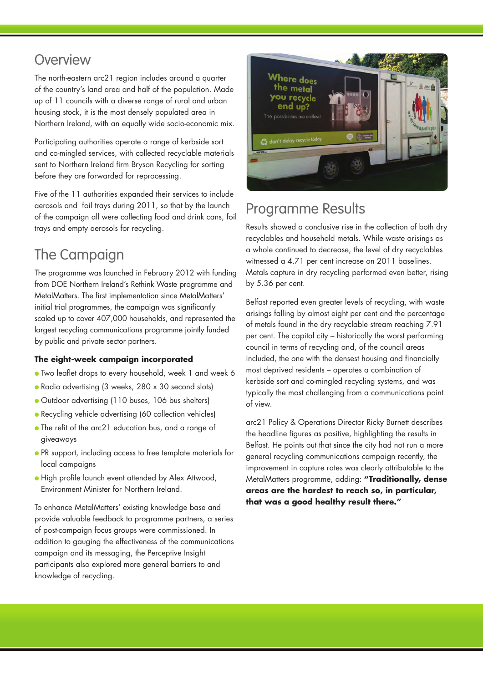## **Overview**

The north-eastern arc21 region includes around a quarter of the country's land area and half of the population. Made up of 11 councils with a diverse range of rural and urban housing stock, it is the most densely populated area in Northern Ireland, with an equally wide socio-economic mix.

Participating authorities operate a range of kerbside sort and co-mingled services, with collected recyclable materials sent to Northern Ireland firm Bryson Recycling for sorting before they are forwarded for reprocessing.

Five of the 11 authorities expanded their services to include aerosols and foil trays during 2011, so that by the launch of the campaign all were collecting food and drink cans, foil trays and empty aerosols for recycling.

# The Campaign

The programme was launched in February 2012 with funding from DOE Northern Ireland's Rethink Waste programme and MetalMatters. The first implementation since MetalMatters' initial trial programmes, the campaign was significantly scaled up to cover 407,000 households, and represented the largest recycling communications programme jointly funded by public and private sector partners.

### **The eight-week campaign incorporated**

- Two leaflet drops to every household, week 1 and week 6
- Radio advertising (3 weeks, 280 x 30 second slots)
- Outdoor advertising (110 buses, 106 bus shelters)
- Recycling vehicle advertising (60 collection vehicles)
- The refit of the arc21 education bus, and a range of giveaways
- PR support, including access to free template materials for local campaigns
- High profile launch event attended by Alex Attwood, Environment Minister for Northern Ireland.

To enhance MetalMatters' existing knowledge base and provide valuable feedback to programme partners, a series of post-campaign focus groups were commissioned. In addition to gauging the effectiveness of the communications campaign and its messaging, the Perceptive Insight participants also explored more general barriers to and knowledge of recycling.



# Programme Results

Results showed a conclusive rise in the collection of both dry recyclables and household metals. While waste arisings as a whole continued to decrease, the level of dry recyclables witnessed a 4.71 per cent increase on 2011 baselines. Metals capture in dry recycling performed even better, rising by 5.36 per cent.

Belfast reported even greater levels of recycling, with waste arisings falling by almost eight per cent and the percentage of metals found in the dry recyclable stream reaching 7.91 per cent. The capital city – historically the worst performing council in terms of recycling and, of the council areas included, the one with the densest housing and financially most deprived residents – operates a combination of kerbside sort and co-mingled recycling systems, and was typically the most challenging from a communications point of view.

arc21 Policy & Operations Director Ricky Burnett describes the headline figures as positive, highlighting the results in Belfast. He points out that since the city had not run a more general recycling communications campaign recently, the improvement in capture rates was clearly attributable to the MetalMatters programme, adding: **"Traditionally, dense areas are the hardest to reach so, in particular, that was a good healthy result there."**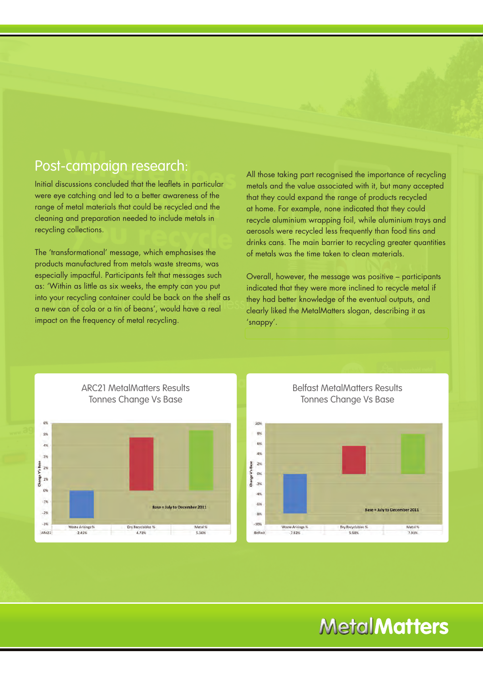## Post-campaign research:

Initial discussions concluded that the leaflets in particular were eye catching and led to a better awareness of the range of metal materials that could be recycled and the cleaning and preparation needed to include metals in recycling collections.

The 'transformational' message, which emphasises the products manufactured from metals waste streams, was especially impactful. Participants felt that messages such as: 'Within as little as six weeks, the empty can you put into your recycling container could be back on the shelf as a new can of cola or a tin of beans', would have a real impact on the frequency of metal recycling.

All those taking part recognised the importance of recycling metals and the value associated with it, but many accepted that they could expand the range of products recycled at home. For example, none indicated that they could recycle aluminium wrapping foil, while aluminium trays and aerosols were recycled less frequently than food tins and drinks cans. The main barrier to recycling greater quantities of metals was the time taken to clean materials.

Overall, however, the message was positive – participants indicated that they were more inclined to recycle metal if they had better knowledge of the eventual outputs, and clearly liked the MetalMatters slogan, describing it as 'snappy'.



Belfast MetalMatters Results Tonnes Change Vs Base



# **MetalMatters**